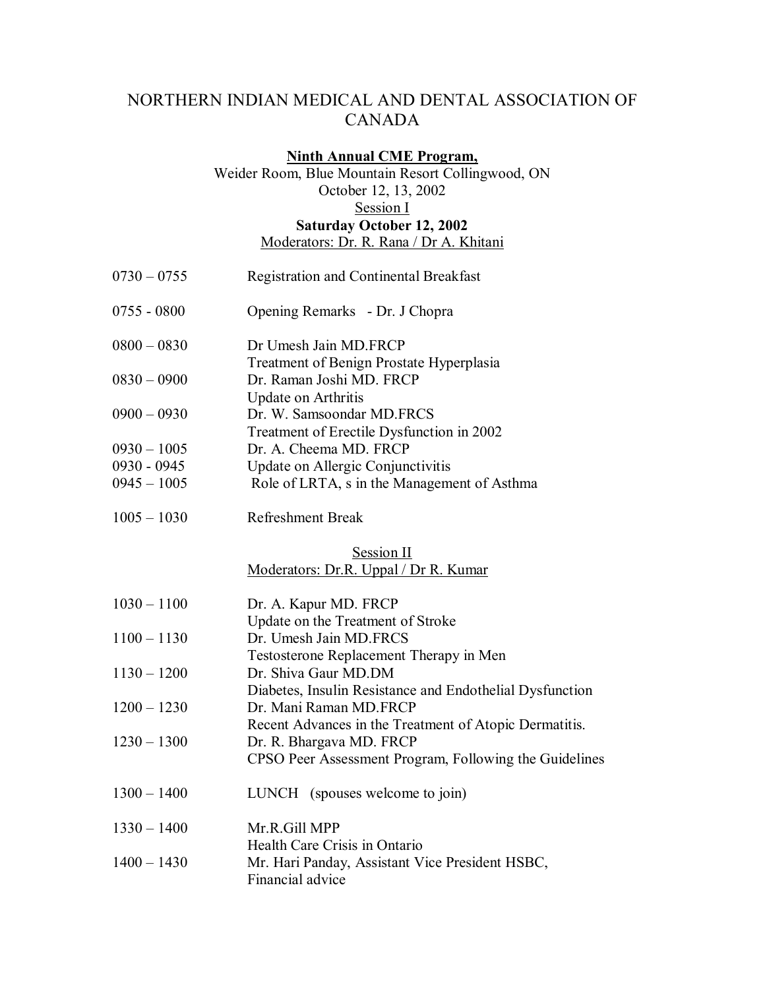# NORTHERN INDIAN MEDICAL AND DENTAL ASSOCIATION OF CANADA

#### **Ninth Annual CME Program,**

Weider Room, Blue Mountain Resort Collingwood, ON October 12, 13, 2002 Session I **Saturday October 12, 2002**  Moderators: Dr. R. Rana / Dr A. Khitani

- 0730 0755 Registration and Continental Breakfast 0755 - 0800 Opening Remarks - Dr. J Chopra 0800 – 0830 Dr Umesh Jain MD.FRCP Treatment of Benign Prostate Hyperplasia 0830 – 0900 Dr. Raman Joshi MD. FRCP Update on Arthritis 0900 – 0930 Dr. W. Samsoondar MD.FRCS Treatment of Erectile Dysfunction in 2002 0930 – 1005 Dr. A. Cheema MD. FRCP 0930 - 0945 Update on Allergic Conjunctivitis 0945 – 1005 Role of LRTA, s in the Management of Asthma
- 1005 1030 Refreshment Break

### Session II Moderators: Dr.R. Uppal / Dr R. Kumar

| $1030 - 1100$ | Dr. A. Kapur MD. FRCP                                               |
|---------------|---------------------------------------------------------------------|
|               | Update on the Treatment of Stroke                                   |
| $1100 - 1130$ | Dr. Umesh Jain MD.FRCS                                              |
|               | Testosterone Replacement Therapy in Men                             |
| $1130 - 1200$ | Dr. Shiva Gaur MD.DM                                                |
|               | Diabetes, Insulin Resistance and Endothelial Dysfunction            |
| $1200 - 1230$ | Dr. Mani Raman MD FRCP                                              |
|               | Recent Advances in the Treatment of Atopic Dermatitis.              |
| $1230 - 1300$ | Dr. R. Bhargava MD. FRCP                                            |
|               | CPSO Peer Assessment Program, Following the Guidelines              |
| $1300 - 1400$ | LUNCH (spouses welcome to join)                                     |
| $1330 - 1400$ | Mr.R.Gill MPP                                                       |
|               | Health Care Crisis in Ontario                                       |
| $1400 - 1430$ | Mr. Hari Panday, Assistant Vice President HSBC,<br>Financial advice |
|               |                                                                     |